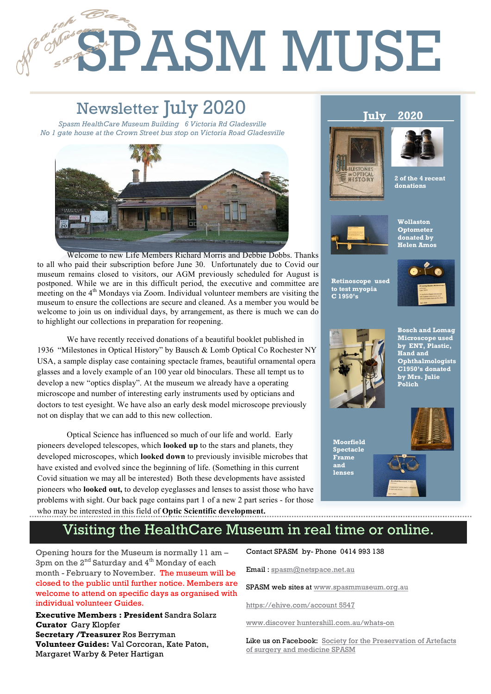# SPASM MUSE **Retinoscope used C 1950's to**

# Newsletter July 2020

1

2

**July 2020** *Spasm HealthCare Museum Building 6 Victoria Rd Gladesville No 1 gate house at the Crown Street bus stop on Victoria Road Gladesville*



Welcome to new Life Members Richard Morris and Debbie Dobbs. Thanks to all who paid their subscription before June 30. Unfortunately due to Covid our museum remains closed to visitors, our AGM previously scheduled for August is postponed. While we are in this difficult period, the executive and committee are meeting on the 4<sup>th</sup> Mondays via Zoom. Individual volunteer members are visiting the museum to ensure the collections are secure and cleaned. As a member you would be welcome to join us on individual days, by arrangement, as there is much we can do to highlight our collections in preparation for reopening.

We have recently received donations of a beautiful booklet published in 1936 "Milestones in Optical History" by Bausch & Lomb Optical Co Rochester NY USA, a sample display case containing spectacle frames, beautiful ornamental opera glasses and a lovely example of an 100 year old binoculars. These all tempt us to develop a new "optics display". At the museum we already have a operating microscope and number of interesting early instruments used by opticians and doctors to test eyesight. We have also an early desk model microscope previously not on display that we can add to this new collection.

Optical Science has influenced so much of our life and world. Early pioneers developed telescopes, which **looked up** to the stars and planets, they developed microscopes, which **looked down** to previously invisible microbes that have existed and evolved since the beginning of life. (Something in this current Covid situation we may all be interested) Both these developments have assisted pioneers who **looked out,** to develop eyeglasses and lenses to assist those who have problems with sight. Our back page contains part 1 of a new 2 part series - for those who may be interested in this field of **Optic Scientific development.**





**2 of the 4 recent donations** 



**Wollaston Optometer donated by Helen Amos** 

**Retinoscope used to test myopia C 1950's**





**Bosch and Lomag Microscope used by ENT, Plastic, Hand and Ophthalmologists C1950's donated by Mrs. Julie Polich** 

**Moorfield Spectacle Frame and lenses** 



# Visiting the HealthCare Museum in real time or online.

Opening hours for the Museum is normally 11 am – 3pm on the 2<sup>nd</sup> Saturday and 4<sup>th</sup> Monday of each month - February to November. The museum will be closed to the public until further notice. Members are welcome to attend on specific days as organised with individual volunteer Guides.

**Executive Members : President** Sandra Solarz **Curator** Gary Klopfer **Secretary /Treasurer** Ros Berryman **Volunteer Guides:** Val Corcoran, Kate Paton, Margaret Warby & Peter Hartigan

Contact SPASM by- Phone 0414 993 138

Email : spasm@netspace.net.au

SPASM web sites at www.spasmmuseum.org.au

https://ehive.com/account 5547

www.discover huntershill.com.au/whats-on

Like us on Facebook: Society for the Preservation of Artefacts of surgery and medicine SPASM